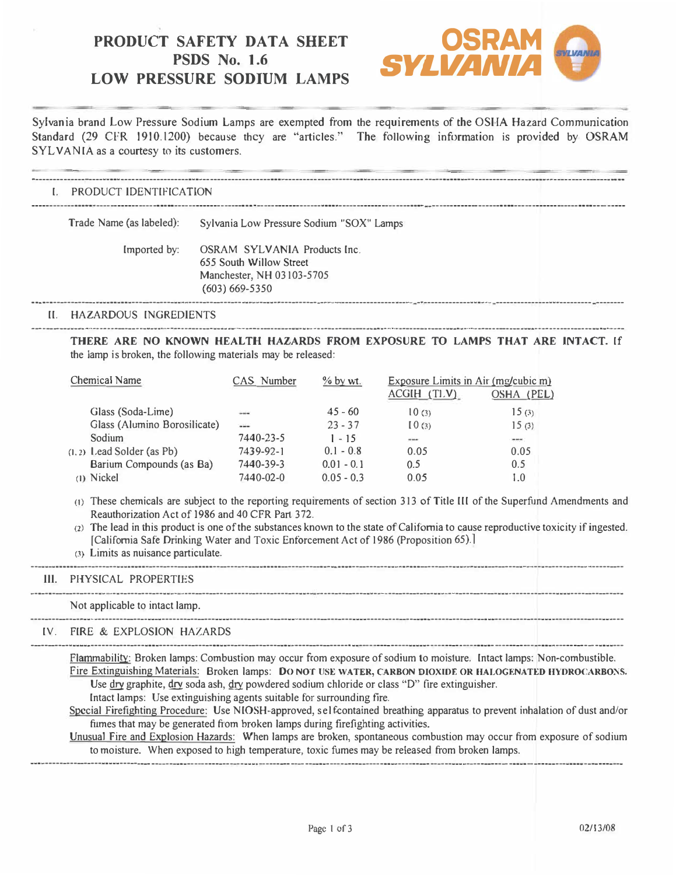# **PRODUCT SAFETY DATA SHEET LOW PRESSURE SODIUM LAMPS PSDS** No. 1.6



Sylvania brand Low Pressure Sodium Lamps are exempted from the requirements of the OSHA Hazard Communication Standard (29 CFR 1910.1200) because they are "articles." The following information is provided by OSRAM SYLVANIA as a courtesy to its customers.

|    | PRODUCT IDENTIFICATION   |                                                                                                            |  |  |  |  |
|----|--------------------------|------------------------------------------------------------------------------------------------------------|--|--|--|--|
|    | Trade Name (as labeled): | Sylvania Low Pressure Sodium "SOX" Lamps                                                                   |  |  |  |  |
|    | Imported by:             | OSRAM SYLVANIA Products Inc.<br>655 South Willow Street<br>Manchester, NH 03103-5705<br>$(603) 669 - 5350$ |  |  |  |  |
| H. | HAZARDOUS INGREDIENTS    |                                                                                                            |  |  |  |  |

**THERE ARE NO KNOWN HEALTH HAZARDS FROM EXPOSURE TO LAMPS THAT ARE INTACT.** If the lamp is broken, the following materials may be released:

| Chemical Name                | CAS Number   | $%$ by wt.   | Exposure Limits in Air (mg/cubic m)<br>$ACGH$ $(T1.V)$ | OSHA (PEL) |
|------------------------------|--------------|--------------|--------------------------------------------------------|------------|
| Glass (Soda-Lime)            | <b>Links</b> | $45 - 60$    | 10(3)                                                  | 15(3)      |
| Glass (Alumino Borosilicate) | $-$          | $23 - 37$    | [0(3)]                                                 | 15(3)      |
| Sodium                       | 7440-23-5    | $1 - 15$     | $\cdots$                                               | ---        |
| $(1, 2)$ Lead Solder (as Pb) | 7439-92-1    | $0.1 - 0.8$  | 0.05                                                   | 0.05       |
| Barium Compounds (as Ba)     | 7440-39-3    | $0.01 - 0.1$ | 0.5                                                    | 0.5        |
| (1) Nickel                   | 7440-02-0    | $0.05 - 0.3$ | 0.05                                                   | 1.0        |

(t) These chemicals are subject to the reporting requirements of section 313 of Title III of the Superfund Amendments and Reauthorization Act of 1986 and 40 CFR Part 372.

**(2)** The lead in this product is one of the substances known to the state of California to cause reproductive toxicity if ingested. [California Safe Drinking Water and Toxic Enforcement Act of 1986 (Proposition 65).]

---------------------------·---------------------------------------------------------..·----------------------------------------·---------------------..----------------

-----------------·-------------------------·----------·---------------------------·---------------------------------------------------------·-------------------------

--------------------------------·--------·-----------------------------------------------------------·--------------------------·-...--·-------------...---------------...---

-----------------------------------------------------------------------------------------..------------------------------·-------------·--------------------------------

(3) Limits as nuisance particulate.

### III. PHYSICAL PROPERTIES

Not applicable to intact lamp.

# IV. FIRE & EXPLOSION HAZARDS

Flammability: Broken lamps: Combustion may occur from exposure of sodium to moisture. Intact lamps: Non-combustible. Fire Extinguishing Materials: Broken lamps: DO NOT USE WATER, CARBON DIOXIDE OR HALOGENATED HYDROCARBONS.

Use dry graphite, dry soda ash, dry powdered sodium chloride or class "D" fire extinguisher.

Intact lamps: Use extinguishing agents suitable for surrounding fire.

Special Firefighting Procedure: Use NIOSH-approved, self-contained breathing apparatus to prevent inhalation of dust and/or fumes that may be generated from broken lamps during firefighting activities.

Unusual Fire and Explosion Hazards: When lamps are broken, spontaneous combustion may occur from exposure of sodium to moisture. When exposed to high temperature, toxic fumes may be released from broken lamps.

---------------------·--------..-------------------------------- ·---------------------------------------------------------------------------·-----·---------------------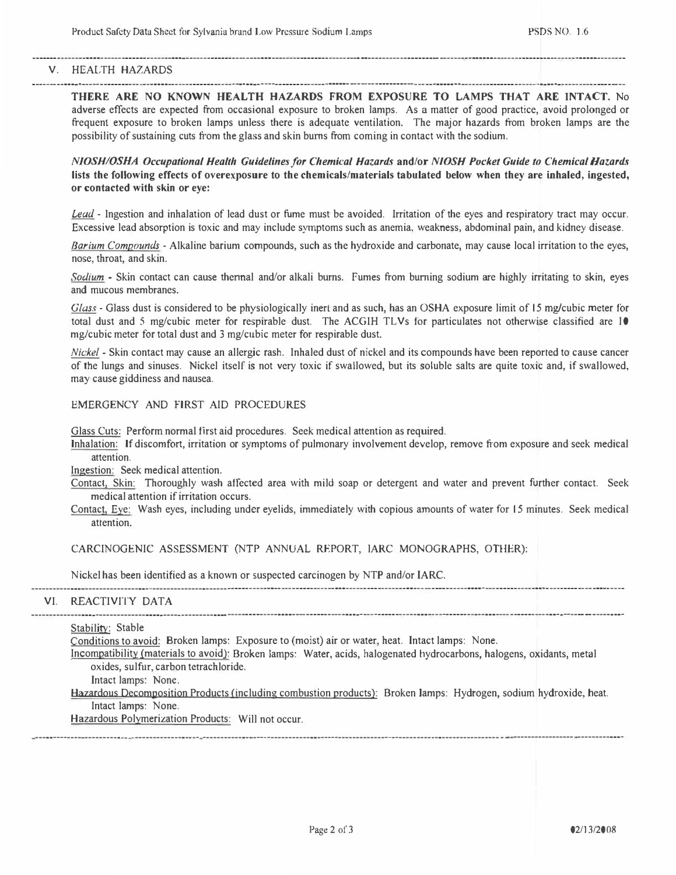## V. HEALTH HAZARDS

**THERE ARE NO KNOWN HEALTH HAZARDS FROM EXPOSURE TO LAMPS THAT ARE INTACT.** No adverse effects are expected from occasional exposure to broken lamps. As a matter of good practice, avoid prolonged or frequent exposure to broken lamps unless there is adequate ventilation. The major hazards from broken lamps are the possibility of sustaining cuts from the glass and skin burns from coming in contact with the sodium.

--------------------------------------------------------------------------------------------·----------·------------- - ------- ·-·------------ · ------------------------------

----------------------------- -------·---------·--------------------·----------------------·--------------------· -----------· ---------------------------------------·-------

*NIOSHIOSHA Occupational Health Guidelines/or Chemical Hazards* **and/or** *NIOSH Pocket Guide to Chemical Hazards*  **lists the following effects of overexposure to the chemicals/materials tabulated below when they are inhaled, ingested, or contacted with skin or eye:** 

*Lead* - Ingestion and inhalation of lead dust or fume must be avoided. Irritation of the eyes and respiratory tract may occur. Excessive lead absorption is toxic and may include symptoms such as anemia, weakness, abdominal pain, and kidney disease.

*Barium Compounds* - Alkaline barium compounds, such as the hydroxide and carbonate, may cause local irritation to the eyes, nose, throat, and skin.

*Sodium* - Skin contact can cause thennal and/or alkali burns. Fumes from burning sodium are highly irritating to skin, eyes and mucous membranes.

*Glass* - Glass dust is considered to be physiologically inert and as such, has an OSHA exposure limit of 15 mg/cubic meter for total dust and 5 mg/cubic meter for respirable dust. The ACGIH TLVs for particulates not otherwise classified are 10 mg/cubic meter for total dust and 3 mg/cubic meter for respirable dust.

*Nickel* - Skin contact may cause an allergic rash. Inhaled dust of nickel and its compounds have been reported to cause cancer of the lungs and sinuses. Nickel itself is not very toxic if swallowed, but its soluble salts are quite toxic and, if swallowed, may cause giddiness and nausea.

# EMERGENCY AND FIRST AID PROCEDURES

Glass Cuts: Perform normal first aid procedures. Seek medical attention as required.

Inhalation: If discomfort, irritation or symptoms of pulmonary involvement develop, remove from exposure and seek medical attention.

Ingestion: Seek medical attention.

--·-----------------------------------·---..··-----------..----------------------------------·---·-----------------------------------------·---------------------------·..--

- Contact, Skin: Thoroughly wash affected area with mild soap or detergent and water and prevent further contact. Seek medical attention if irritation occurs.
- Contact, Eye: Wash eyes, including under eyelids, immediately with copious amounts of water for 15 minutes. Seek medical attention.

-------------------------------------------------------... -------------------------------- - --------- ---------------------------------------------------·---------------- · -

CARCINOGENIC ASSESSMENT (NTP ANNUAL REPORT, lARC MONOGRAPHS, OTHER):

Nickel has been identified as a known or suspected carcinogen by NTP and/or IARC.

### VI. REACTIVITY DATA

Stability: Stable Conditions to avoid: Broken lamps: Exposure to (moist) air or water, heat. Intact lamps: None. Incompatibility (materials to avoid): Broken lamps: Water, acids, halogenated lnydrocarbons, halogens, oxidants, metal oxides, sulfur, carbon tetrachloride. Intact lamps: None. Hazardous Decomposition Products (including combustion products): Broken lamps: Hydrogen, sodium hydroxide, heat. Intact lamps: None. Hazardous Polymerization Products: Will not occur. --------------------·-··..- -·-----------·----·------------------------------------------------------------------·--------------------------------------- -------------